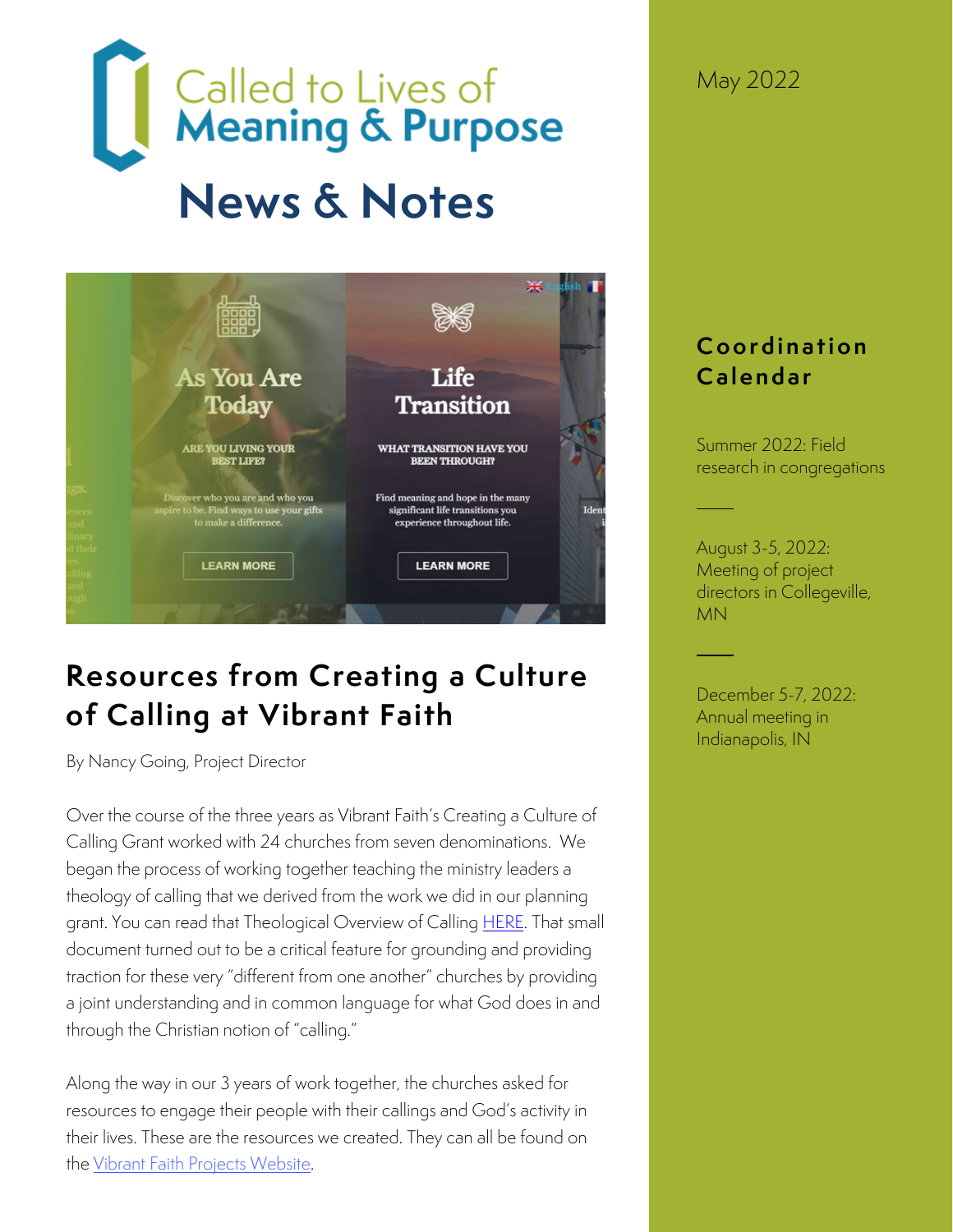# Called to Lives of<br>Meaning & Purpose **News & Notes**



# **Resources from Creating a Culture of Calling at Vibrant Faith**

By Nancy Going, Project Director

Over the course of the three years as Vibrant Faith's Creating a Culture of Calling Grant worked with 24 churches from seven denominations. We began the process of working together teaching the ministry leaders a theology of calling that we derived from the work we did in our planning grant. You can read that Theological Overview of Calling [HERE.](https://www.vibrantfaithprojects.org/uploads/1/3/1/1/131152636/a_theological_statement_on_calling.pdf) That small document turned out to be a critical feature for grounding and providing traction for these very "different from one another" churches by providing a joint understanding and in common language for what God does in and through the Christian notion of "calling."

Along the way in our 3 years of work together, the churches asked for resources to engage their people with their callings and God's activity in their lives. These are the resources we created. They can all be found on the [Vibrant Faith Projects Website.](https://www.vibrantfaithprojects.org/c3-project.html)

May 2022

## **C o o r d i n a t i o n C a l e n d a r**

Summer 2022: Field research in congregations

August 3-5, 2022: Meeting of project directors in Collegeville, MN

December 5-7, 2022: Annual meeting in Indianapolis, IN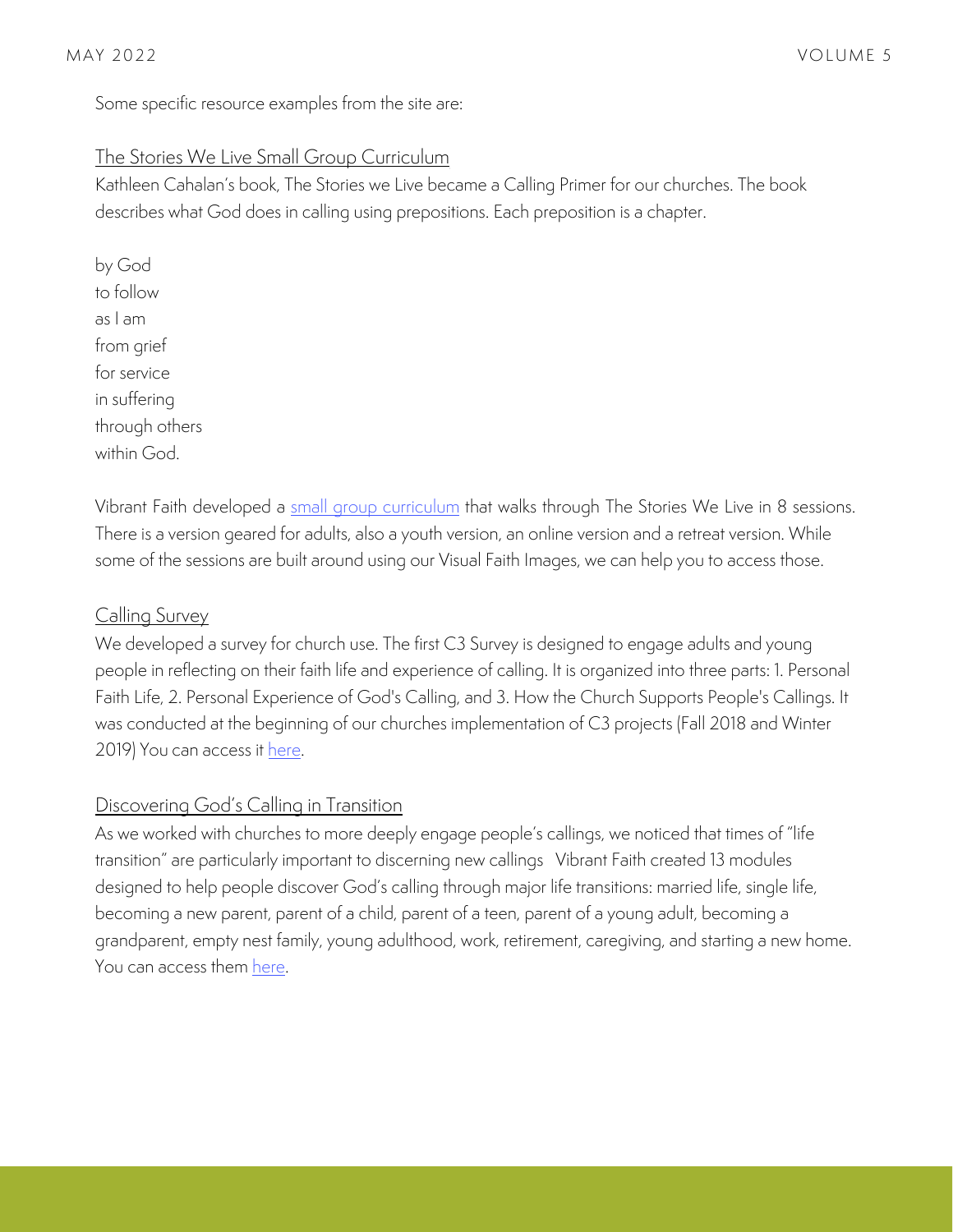Some specific resource examples from the site are:

#### The Stories We Live Small Group Curriculum

Kathleen Cahalan's book, The Stories we Live became a Calling Primer for our churches. The book describes what God does in calling using prepositions. Each preposition is a chapter.

by God to follow as I am from grief for service in suffering through others within God.

Vibrant Faith developed a [small group curriculum](https://www.vibrantfaithprojects.org/stories-we-live.html) that walks through The Stories We Live in 8 sessions. There is a version geared for adults, also a youth version, an online version and a retreat version. While some of the sessions are built around using our Visual Faith Images, we can help you to access those.

#### Calling Survey

We developed a survey for church use. The first C3 Survey is designed to engage adults and young people in reflecting on their faith life and experience of calling. It is organized into three parts: 1. Personal Faith Life, 2. Personal Experience of God's Calling, and 3. How the Church Supports People's Callings. It was conducted at the beginning of our churches implementation of C3 projects (Fall 2018 and Winter 2019) You can access it here.

#### Discovering God's Calling in Transition

As we worked with churches to more deeply engage people's callings, we noticed that times of "life transition" are particularly important to discerning new callings Vibrant Faith created 13 modules designed to help people discover God's calling through major life transitions: married life, single life, becoming a new parent, parent of a child, parent of a teen, parent of a young adult, becoming a grandparent, empty nest family, young adulthood, work, retirement, caregiving, and starting a new home. You can access them [here.](https://www.vibrantfaithprojects.org/transitions.html)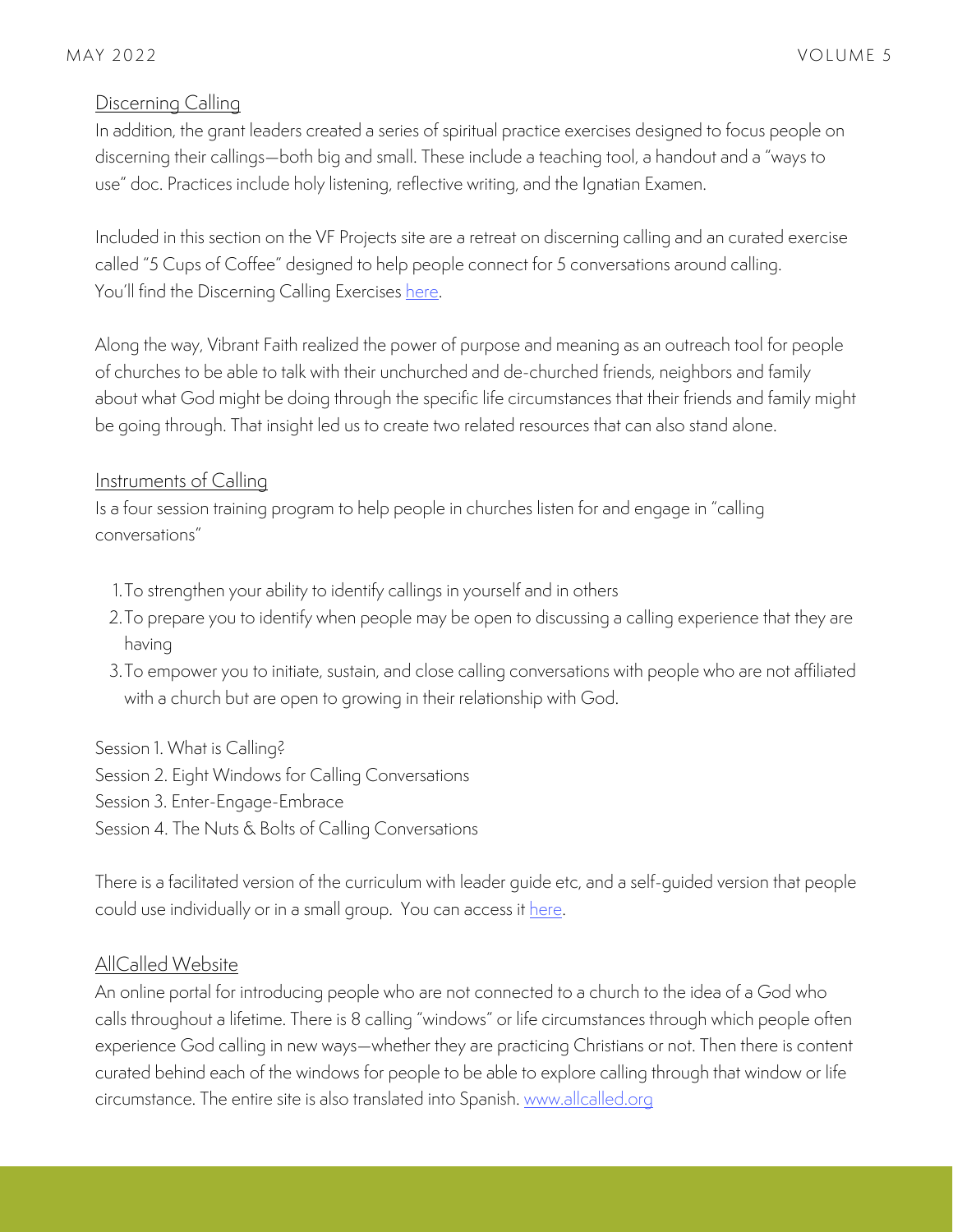#### Discerning Calling

In addition, the grant leaders created a series of spiritual practice exercises designed to focus people on discerning their callings—both big and small. These include a teaching tool, a handout and a "ways to use" doc. Practices include holy listening, reflective writing, and the Ignatian Examen.

Included in this section on the VF Projects site are a retreat on discerning calling and an curated exercise called "5 Cups of Coffee" designed to help people connect for 5 conversations around calling. You'll find the Discerning Calling Exercises [here.](https://www.vibrantfaithprojects.org/discerning-call.html)

Along the way, Vibrant Faith realized the power of purpose and meaning as an outreach tool for people of churches to be able to talk with their unchurched and de-churched friends, neighbors and family about what God might be doing through the specific life circumstances that their friends and family might be going through. That insight led us to create two related resources that can also stand alone.

#### Instruments of Calling

Is a four session training program to help people in churches listen for and engage in "calling conversations"

- 1. To strengthen your ability to identity callings in yourself and in others
- 2. To prepare you to identify when people may be open to discussing a calling experience that they are  $\,$ having
- To empower you to initiate, sustain, and close calling conversations with people who are not affiliated 3. with a church but are open to growing in their relationship with God.

Session 1. What is Calling? Session 2. Eight Windows for Calling Conversations Session 3. Enter-Engage-Embrace

Session 4. The Nuts & Bolts of Calling Conversations

There is a facilitated version of the curriculum with leader guide etc, and a self-guided version that people could use individually or in a small group. You can access it [here.](https://www.vibrantfaithprojects.org/all-called.html)

#### AllCalled Website

An online portal for introducing people who are not connected to a church to the idea of a God who calls throughout a lifetime. There is 8 calling "windows" or life circumstances through which people often experience God calling in new ways—whether they are practicing Christians or not. Then there is content curated behind each of the windows for people to be able to explore calling through that window or life circumstance. The entire site is also translated into Spanish. [www.allcalled.org](http://www.allcalled.org/)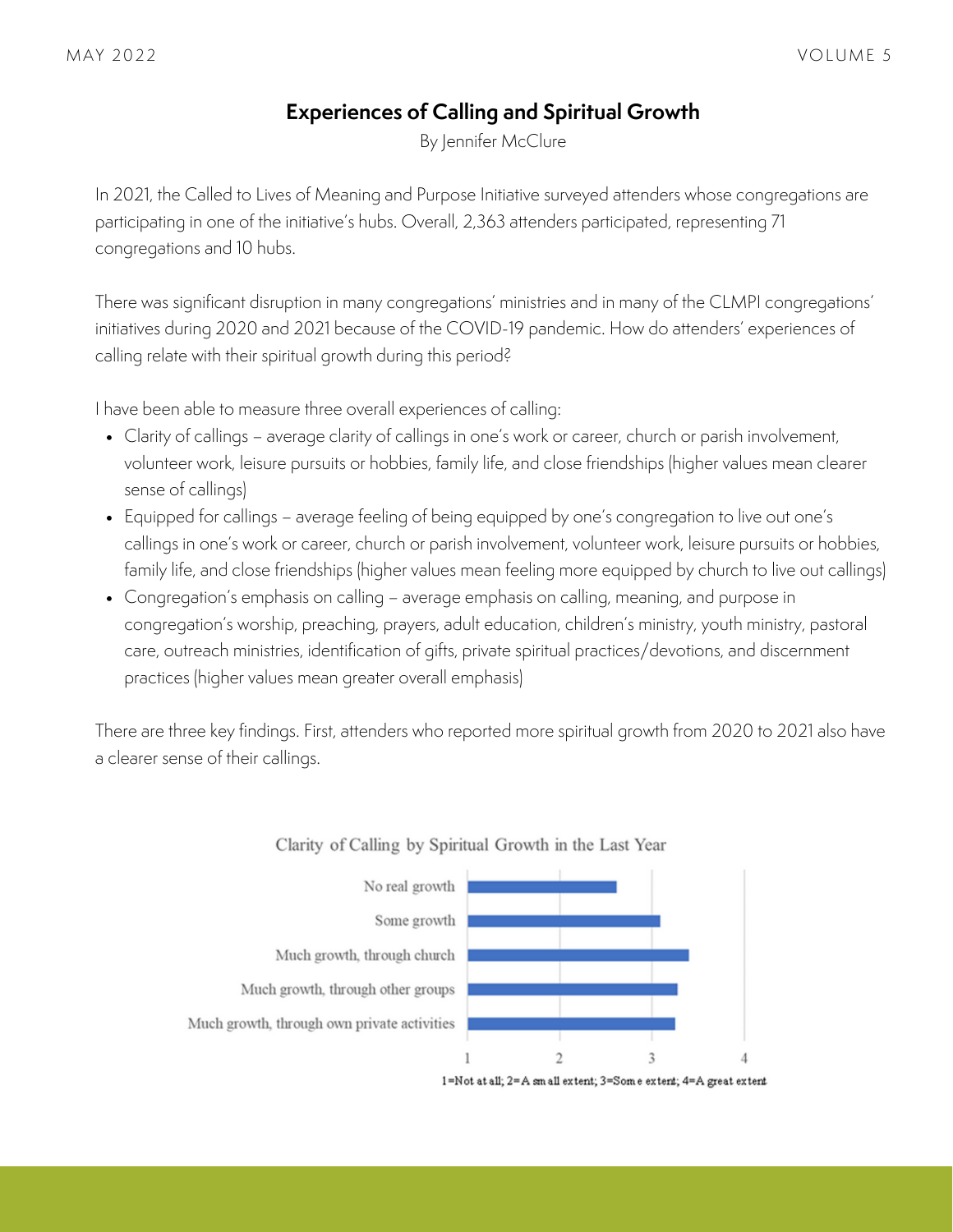### **Experiences of Calling and Spiritual Growth**

By Jennifer McClure

In 2021, the Called to Lives of Meaning and Purpose Initiative surveyed attenders whose congregations are participating in one of the initiative's hubs. Overall, 2,363 attenders participated, representing 71 congregations and 10 hubs.

There was significant disruption in many congregations' ministries and in many of the CLMPI congregations' initiatives during 2020 and 2021 because of the COVID-19 pandemic. How do attenders' experiences of calling relate with their spiritual growth during this period?

I have been able to measure three overall experiences of calling:

- Clarity of callings average clarity of callings in one's work or career, church or parish involvement, volunteer work, leisure pursuits or hobbies, family life, and close friendships (higher values mean clearer sense of callings)
- Equipped for callings average feeling of being equipped by one's congregation to live out one's callings in one's work or career, church or parish involvement, volunteer work, leisure pursuits or hobbies, family life, and close friendships (higher values mean feeling more equipped by church to live out callings)
- Congregation's emphasis on calling average emphasis on calling, meaning, and purpose in congregation's worship, preaching, prayers, adult education, children's ministry, youth ministry, pastoral care, outreach ministries, identification of gifts, private spiritual practices/devotions, and discernment practices (higher values mean greater overall emphasis)

There are three key findings. First, attenders who reported more spiritual growth from 2020 to 2021 also have a clearer sense of their callings.





<sup>1=</sup>Not at all; 2=A sm all extent; 3=Some extent; 4=A great extent